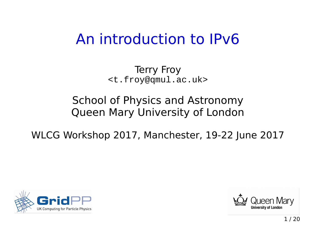# An introduction to IPv6

Terry Froy <[t.froy@qmul.ac.uk](mailto:t.froy@qmul.ac.uk)>

#### School of Physics and Astronomy Queen Mary University of London

WLCG Workshop 2017, Manchester, 19-22 June 2017



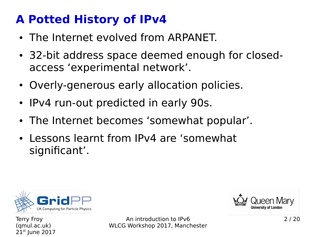### **A Potted History of IPv4**

- The Internet evolved from ARPANET.
- 32-bit address space deemed enough for closedaccess 'experimental network'.
- Overly-generous early allocation policies.
- IPv4 run-out predicted in early 90s.
- The Internet becomes 'somewhat popular'.
- Lessons learnt from IPv4 are 'somewhat significant'.



Terry Froy (qmul.ac.uk)  $21<sup>st</sup>$  June 2017

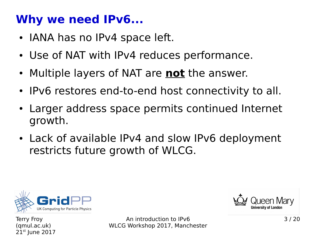### **Why we need IPv6...**

- IANA has no IPv4 space left.
- Use of NAT with IPv4 reduces performance.
- Multiple layers of NAT are **not** the answer.
- IPv6 restores end-to-end host connectivity to all.
- Larger address space permits continued Internet growth.
- Lack of available IPv4 and slow IPv6 deployment restricts future growth of WLCG.



Terry Froy (qmul.ac.uk)  $21<sup>st</sup>$  June 2017

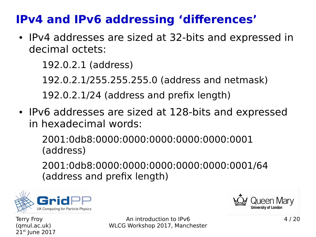### **IPv4 and IPv6 addressing 'differences'**

• IPv4 addresses are sized at 32-bits and expressed in decimal octets:

192.0.2.1 (address)

192.0.2.1/255.255.255.0 (address and netmask)

192.0.2.1/24 (address and prefix length)

• IPv6 addresses are sized at 128-bits and expressed in hexadecimal words:

2001:0db8:0000:0000:0000:0000:0000:0001 (address)

2001:0db8:0000:0000:0000:0000:0000:0001/64 (address and prefix length)





Terry Froy (qmul.ac.uk)  $21<sup>st</sup>$  June 2017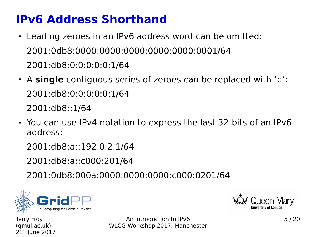### **IPv6 Address Shorthand**

- Leading zeroes in an IPv6 address word can be omitted: 2001:0db8:0000:0000:0000:0000:0000:0001/64 2001:db8:0:0:0:0:0:1/64
- A **single** contiguous series of zeroes can be replaced with '::': 2001:db8:0:0:0:0:0:1/64 2001:db8::1/64
- You can use IPv4 notation to express the last 32-bits of an IPv6 address:

2001:db8:a::192.0.2.1/64

2001:db8:a::c000:201/64

2001:0db8:000a:0000:0000:0000:c000:0201/64



een Marv **University of London** 

Terry Froy (qmul.ac.uk)  $21<sup>st</sup>$  June 2017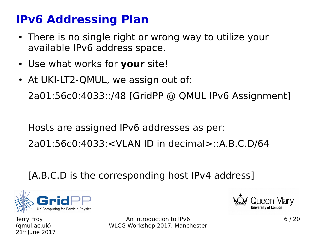### **IPv6 Addressing Plan**

- There is no single right or wrong way to utilize your available IPv6 address space.
- Use what works for **your** site!
- At UKI-LT2-QMUL, we assign out of: 2a01:56c0:4033::/48 [GridPP @ QMUL IPv6 Assignment]

Hosts are assigned IPv6 addresses as per:

2a01:56c0:4033:<VLAN ID in decimal>::A.B.C.D/64

[A.B.C.D is the corresponding host IPv4 address]



Terry Froy (qmul.ac.uk)  $21<sup>st</sup>$  June 2017

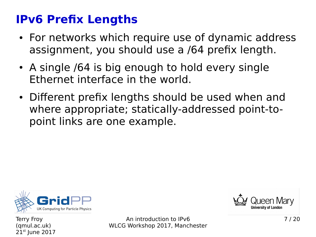### **IPv6 Prefix Lengths**

- For networks which require use of dynamic address assignment, you should use a /64 prefix length.
- A single /64 is big enough to hold every single Ethernet interface in the world.
- Different prefix lengths should be used when and where appropriate; statically-addressed point-topoint links are one example.



Terry Froy (qmul.ac.uk)  $21<sup>st</sup>$  June 2017

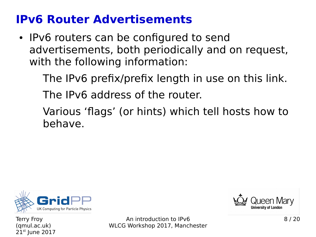### **IPv6 Router Advertisements**

- IPv6 routers can be configured to send advertisements, both periodically and on request, with the following information:
	- The IPv6 prefix/prefix length in use on this link.
	- The IPv6 address of the router.
	- Various 'flags' (or hints) which tell hosts how to behave.



Terry Froy (qmul.ac.uk)  $21<sup>st</sup>$  June 2017

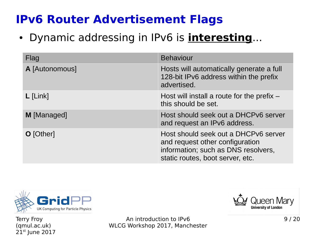### **IPv6 Router Advertisement Flags**

● Dynamic addressing in IPv6 is **interesting**...

| <b>Flag</b>    | <b>Behaviour</b>                                                                                                                                   |
|----------------|----------------------------------------------------------------------------------------------------------------------------------------------------|
| A [Autonomous] | Hosts will automatically generate a full<br>128-bit IPv6 address within the prefix<br>advertised.                                                  |
| $L$ [Link]     | Host will install a route for the prefix $-$<br>this should be set.                                                                                |
| M [Managed]    | Host should seek out a DHCPv6 server<br>and request an IPv6 address.                                                                               |
| O [Other]      | Host should seek out a DHCPv6 server<br>and request other configuration<br>information; such as DNS resolvers,<br>static routes, boot server, etc. |



Terry Froy (qmul.ac.uk) 21st June 2017

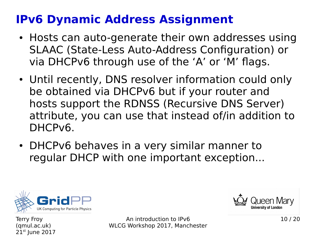### **IPv6 Dynamic Address Assignment**

- Hosts can auto-generate their own addresses using SLAAC (State-Less Auto-Address Configuration) or via DHCPv6 through use of the 'A' or 'M' flags.
- Until recently, DNS resolver information could only be obtained via DHCPv6 but if your router and hosts support the RDNSS (Recursive DNS Server) attribute, you can use that instead of/in addition to DHCPv6.
- DHCPv6 behaves in a very similar manner to regular DHCP with one important exception...



**University of London** 

Terry Froy (qmul.ac.uk)  $21<sup>st</sup>$  June 2017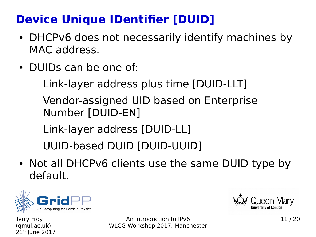## **Device Unique IDentifier [DUID]**

- DHCPv6 does not necessarily identify machines by MAC address.
- DUIDs can be one of:

Link-layer address plus time [DUID-LLT]

Vendor-assigned UID based on Enterprise Number [DUID-EN]

Link-layer address [DUID-LL]

UUID-based DUID [DUID-UUID]

• Not all DHCPv6 clients use the same DUID type by default.



Terry Froy (qmul.ac.uk)  $21<sup>st</sup>$  June 2017

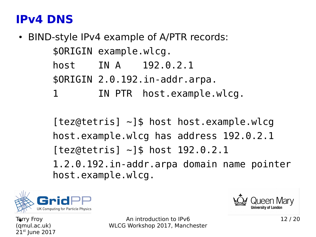### **IPv4 DNS**

• BIND-style IPv4 example of A/PTR records: \$ORIGIN example.wlcg. host IN A 192.0.2.1 \$ORIGIN 2.0.192.in-addr.arpa. 1 IN PTR host.example.wlcg.

> $[tez@tetris]$   $\sim$ ]\$ host host.example.wlcg host.example.wlcg has address 192.0.2.1 [tez@tetris] ~]\$ host 192.0.2.1 1.2.0.192.in-addr.arpa domain name pointer host.example.wlcg.





Terry Froy (qmul.ac.uk)  $21<sup>st</sup>$  June 2017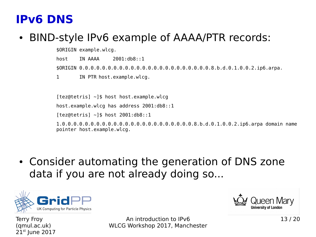#### **IPv6 DNS**

#### • BIND-style IPv6 example of AAAA/PTR records:

\$ORIGIN example.wlcg. host IN AAAA 2001:db8::1 \$ORIGIN 0.0.0.0.0.0.0.0.0.0.0.0.0.0.0.0.0.0.0.0.0.0.0.8.b.d.0.1.0.0.2.ip6.arpa. 1 IN PTR host.example.wlcg.

[tez@tetris] ~]\$ host host.example.wlcg host.example.wlcg has address 2001:db8::1 [tez@tetris] ~]\$ host 2001:db8::1 1.0.0.0.0.0.0.0.0.0.0.0.0.0.0.0.0.0.0.0.0.0.0.0.8.b.d.0.1.0.0.2.ip6.arpa domain name pointer host.example.wlcg.

• Consider automating the generation of DNS zone data if you are not already doing so...



**University of London** 

Terry Froy (qmul.ac.uk)  $21<sup>st</sup>$  June 2017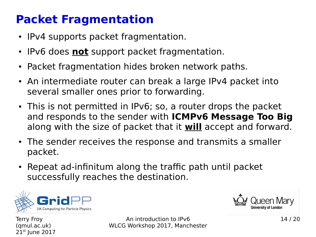### **Packet Fragmentation**

- IPv4 supports packet fragmentation.
- IPv6 does **not** support packet fragmentation.
- Packet fragmentation hides broken network paths.
- An intermediate router can break a large IPv4 packet into several smaller ones prior to forwarding.
- This is not permitted in IPv6; so, a router drops the packet and responds to the sender with **ICMPv6 Message Too Big** along with the size of packet that it **will** accept and forward.
- The sender receives the response and transmits a smaller packet.
- Repeat ad-infinitum along the traffic path until packet successfully reaches the destination.



**University of London** 

Terry Froy (qmul.ac.uk)  $21<sup>st</sup>$  June 2017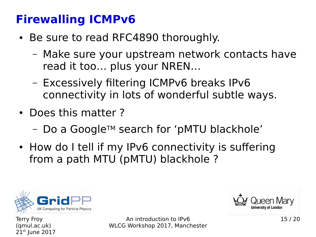### **Firewalling ICMPv6**

- Be sure to read RFC4890 thoroughly.
	- Make sure your upstream network contacts have read it too… plus your NREN…
	- Excessively filtering ICMPv6 breaks IPv6 connectivity in lots of wonderful subtle ways.
- Does this matter?
	- Do a GoogleTM search for 'pMTU blackhole'
- How do I tell if my IPv6 connectivity is suffering from a path MTU (pMTU) blackhole ?



**University of London** 

Terry Froy (qmul.ac.uk)  $21<sup>st</sup>$  June 2017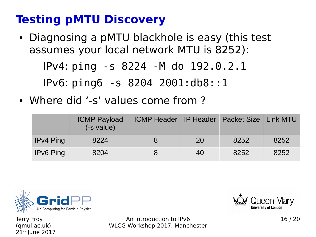## **Testing pMTU Discovery**

• Diagnosing a pMTU blackhole is easy (this test assumes your local network MTU is 8252):

IPv4: ping -s 8224 -M do 192.0.2.1

IPv6: ping6 -s 8204 2001:db8::1

• Where did '-s' values come from ?

|                  | <b>ICMP Payload</b><br>(-s value) | ICMP Header IP Header   Packet Size   Link MTU |    |      |      |
|------------------|-----------------------------------|------------------------------------------------|----|------|------|
| <b>IPv4 Ping</b> | 8224                              | 8                                              | 20 | 8252 | 8252 |
| <b>IPv6 Ping</b> | 8204                              |                                                | 40 | 8252 | 8252 |



Terry Froy (qmul.ac.uk)  $21<sup>st</sup>$  June 2017

An introduction to IPv6 WLCG Workshop 2017, Manchester



16 / 20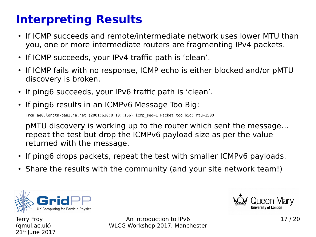### **Interpreting Results**

- If ICMP succeeds and remote/intermediate network uses lower MTU than you, one or more intermediate routers are fragmenting IPv4 packets.
- If ICMP succeeds, your IPv4 traffic path is 'clean'.
- If ICMP fails with no response, ICMP echo is either blocked and/or pMTU discovery is broken.
- If ping6 succeeds, your IPv6 traffic path is 'clean'.
- If ping6 results in an ICMPv6 Message Too Big:

From ae0.londtn-ban3.ja.net (2001:630:0:10::156) icmp\_seq=1 Packet too big: mtu=1500

pMTU discovery is working up to the router which sent the message… repeat the test but drop the ICMPv6 payload size as per the value returned with the message.

- If ping6 drops packets, repeat the test with smaller ICMPv6 payloads.
- Share the results with the community (and your site network team!)



**University of London** 

Terry Froy (qmul.ac.uk)  $21<sup>st</sup>$  June 2017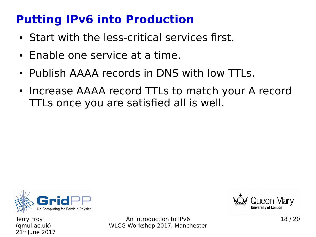### **Putting IPv6 into Production**

- Start with the less-critical services first.
- Enable one service at a time.
- Publish AAAA records in DNS with low TTLs.
- Increase AAAA record TTLs to match your A record TTLs once you are satisfied all is well.



Terry Froy (qmul.ac.uk)  $21<sup>st</sup>$  June 2017

An introduction to IPv6 WLCG Workshop 2017, Manchester



18 / 20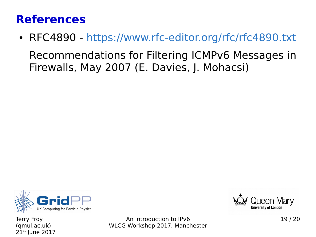#### **References**

• RFC4890 - <https://www.rfc-editor.org/rfc/rfc4890.txt> Recommendations for Filtering ICMPv6 Messages in Firewalls, May 2007 (E. Davies, J. Mohacsi)



Terry Froy (qmul.ac.uk)  $21<sup>st</sup>$  June 2017